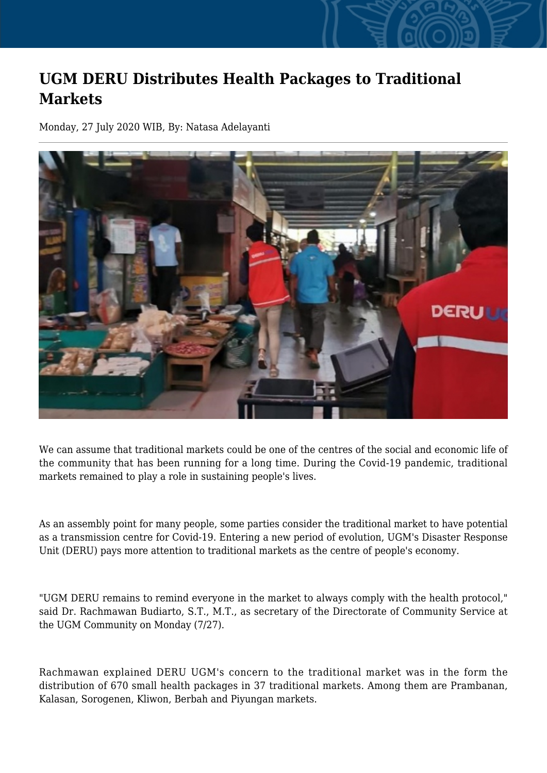## **UGM DERU Distributes Health Packages to Traditional Markets**

Monday, 27 July 2020 WIB, By: Natasa Adelayanti



We can assume that traditional markets could be one of the centres of the social and economic life of the community that has been running for a long time. During the Covid-19 pandemic, traditional markets remained to play a role in sustaining people's lives.

As an assembly point for many people, some parties consider the traditional market to have potential as a transmission centre for Covid-19. Entering a new period of evolution, UGM's Disaster Response Unit (DERU) pays more attention to traditional markets as the centre of people's economy.

"UGM DERU remains to remind everyone in the market to always comply with the health protocol," said Dr. Rachmawan Budiarto, S.T., M.T., as secretary of the Directorate of Community Service at the UGM Community on Monday (7/27).

Rachmawan explained DERU UGM's concern to the traditional market was in the form the distribution of 670 small health packages in 37 traditional markets. Among them are Prambanan, Kalasan, Sorogenen, Kliwon, Berbah and Piyungan markets.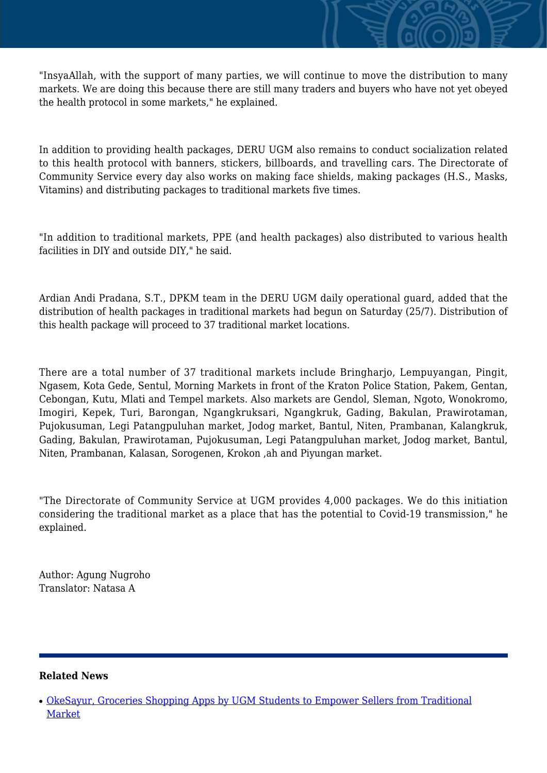"InsyaAllah, with the support of many parties, we will continue to move the distribution to many markets. We are doing this because there are still many traders and buyers who have not yet obeyed the health protocol in some markets," he explained.

In addition to providing health packages, DERU UGM also remains to conduct socialization related to this health protocol with banners, stickers, billboards, and travelling cars. The Directorate of Community Service every day also works on making face shields, making packages (H.S., Masks, Vitamins) and distributing packages to traditional markets five times.

"In addition to traditional markets, PPE (and health packages) also distributed to various health facilities in DIY and outside DIY," he said.

Ardian Andi Pradana, S.T., DPKM team in the DERU UGM daily operational guard, added that the distribution of health packages in traditional markets had begun on Saturday (25/7). Distribution of this health package will proceed to 37 traditional market locations.

There are a total number of 37 traditional markets include Bringharjo, Lempuyangan, Pingit, Ngasem, Kota Gede, Sentul, Morning Markets in front of the Kraton Police Station, Pakem, Gentan, Cebongan, Kutu, Mlati and Tempel markets. Also markets are Gendol, Sleman, Ngoto, Wonokromo, Imogiri, Kepek, Turi, Barongan, Ngangkruksari, Ngangkruk, Gading, Bakulan, Prawirotaman, Pujokusuman, Legi Patangpuluhan market, Jodog market, Bantul, Niten, Prambanan, Kalangkruk, Gading, Bakulan, Prawirotaman, Pujokusuman, Legi Patangpuluhan market, Jodog market, Bantul, Niten, Prambanan, Kalasan, Sorogenen, Krokon ,ah and Piyungan market.

"The Directorate of Community Service at UGM provides 4,000 packages. We do this initiation considering the traditional market as a place that has the potential to Covid-19 transmission," he explained.

Author: Agung Nugroho Translator: Natasa A

## **Related News**

<sup>•</sup> [OkeSayur, Groceries Shopping Apps by UGM Students to Empower Sellers from Traditional](http://ugm.ac.id/www.ugm.ac.id//en/news/11238-ugm-and-appsi-collaborate-to-advance-traditional-markets) [Market](http://ugm.ac.id/www.ugm.ac.id//en/news/11238-ugm-and-appsi-collaborate-to-advance-traditional-markets)